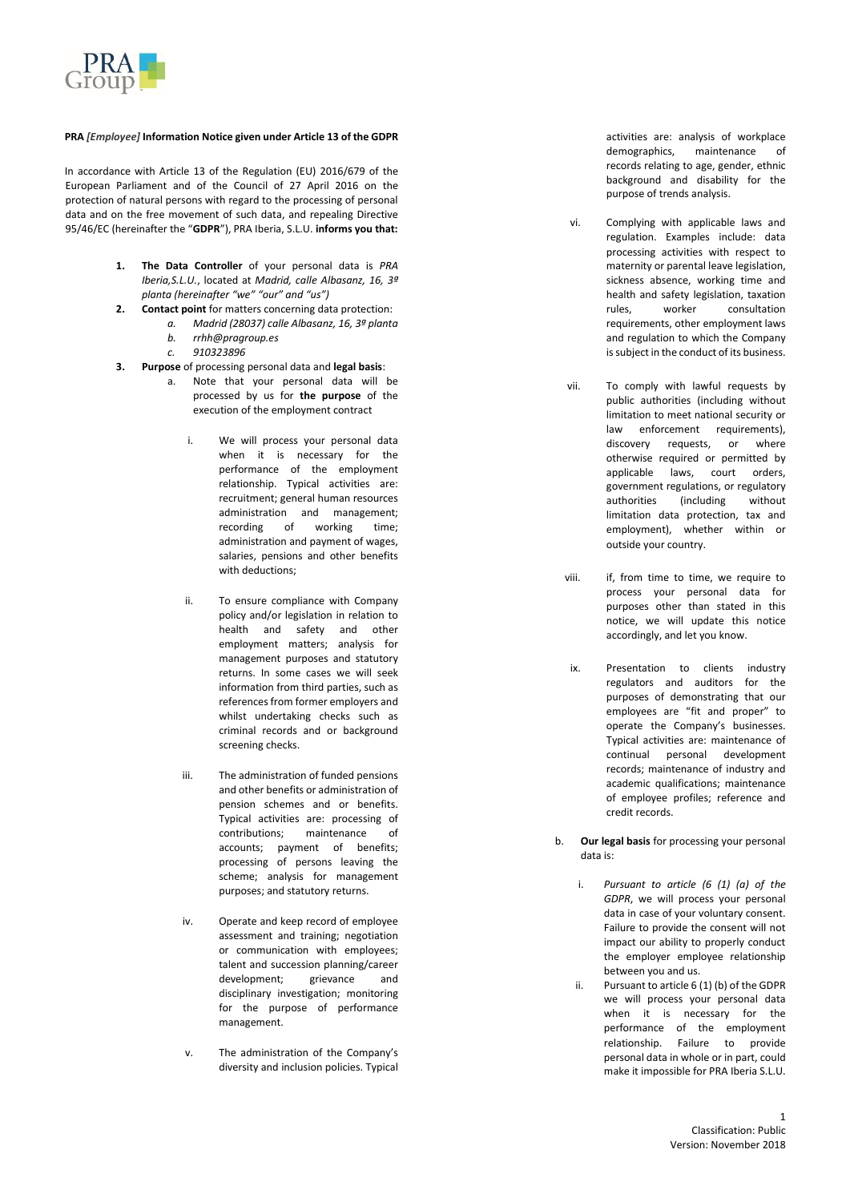

## **PRA** *[Employee]* **Information Notice given under Article 13 of the GDPR**

In accordance with Article 13 of the Regulation (EU) 2016/679 of the European Parliament and of the Council of 27 April 2016 on the protection of natural persons with regard to the processing of personal data and on the free movement of such data, and repealing Directive 95/46/EC (hereinafter the "**GDPR**"), PRA Iberia, S.L.U. **informs you that:**

- **1. The Data Controller** of your personal data is *PRA*  Iberia, S.L.U., located at *Madrid*, calle Albasanz, 16, 3ª *planta (hereinafter "we" "our" and "us")*
- **2. Contact point** for matters concerning data protection:
	- *a. Madrid (28037) calle Albasanz, 16, 3ª planta*
	- *b. rrhh@pragroup.es*
	- *c. 910323896*
- **3. Purpose** of processing personal data and **legal basis**:
	- a. Note that your personal data will be processed by us for **the purpose** of the execution of the employment contract
		- i. We will process your personal data when it is necessary for the performance of the employment relationship. Typical activities are: recruitment; general human resources administration and management; recording of working time; administration and payment of wages, salaries, pensions and other benefits with deductions;
		- ii. To ensure compliance with Company policy and/or legislation in relation to health and safety and other employment matters; analysis for management purposes and statutory returns. In some cases we will seek information from third parties, such as references from former employers and whilst undertaking checks such as criminal records and or background screening checks.
		- iii. The administration of funded pensions and other benefits or administration of pension schemes and or benefits. Typical activities are: processing of contributions; maintenance of accounts; payment of benefits; processing of persons leaving the scheme; analysis for management purposes; and statutory returns.
		- iv. Operate and keep record of employee assessment and training; negotiation or communication with employees; talent and succession planning/career development; grievance and disciplinary investigation; monitoring for the purpose of performance management.
		- v. The administration of the Company's diversity and inclusion policies. Typical

activities are: analysis of workplace demographics, maintenance of records relating to age, gender, ethnic background and disability for the purpose of trends analysis.

- vi. Complying with applicable laws and regulation. Examples include: data processing activities with respect to maternity or parental leave legislation, sickness absence, working time and health and safety legislation, taxation rules, worker consultation requirements, other employment laws and regulation to which the Company is subject in the conduct of its business.
- vii. To comply with lawful requests by public authorities (including without limitation to meet national security or law enforcement requirements), discovery requests, or where otherwise required or permitted by applicable laws, court orders, government regulations, or regulatory authorities (including without limitation data protection, tax and employment), whether within or outside your country .
- viii. if, from time to time, we require to process your personal data for purposes other than stated in this notice, we will update this notice accordingly, and let you know.
- ix. Presentation to clients industry regulators and auditors for the purposes of demonstrating that our employees are "fit and proper" to operate the Company's businesses. Typical activities are: maintenance of continual personal development records; maintenance of industry and academic qualifications; maintenance of employee profiles; reference and credit records.
- b. **Our legal basis** for processing your personal data is:
	- i. *Pursuant to article (6 (1) (a) of the GDPR*, we will process your personal data in case of your voluntary consent. Failure to provide the consent will not impact our ability to properly conduct the employer employee relationship between you and us.
	- ii. Pursuant to article 6 (1) (b) of the GDPR we will process your personal data when it is necessary for the performance of the employment relationship. Failure to provide personal data in whole or in part, could make it impossible for PRA Iberia S.L.U.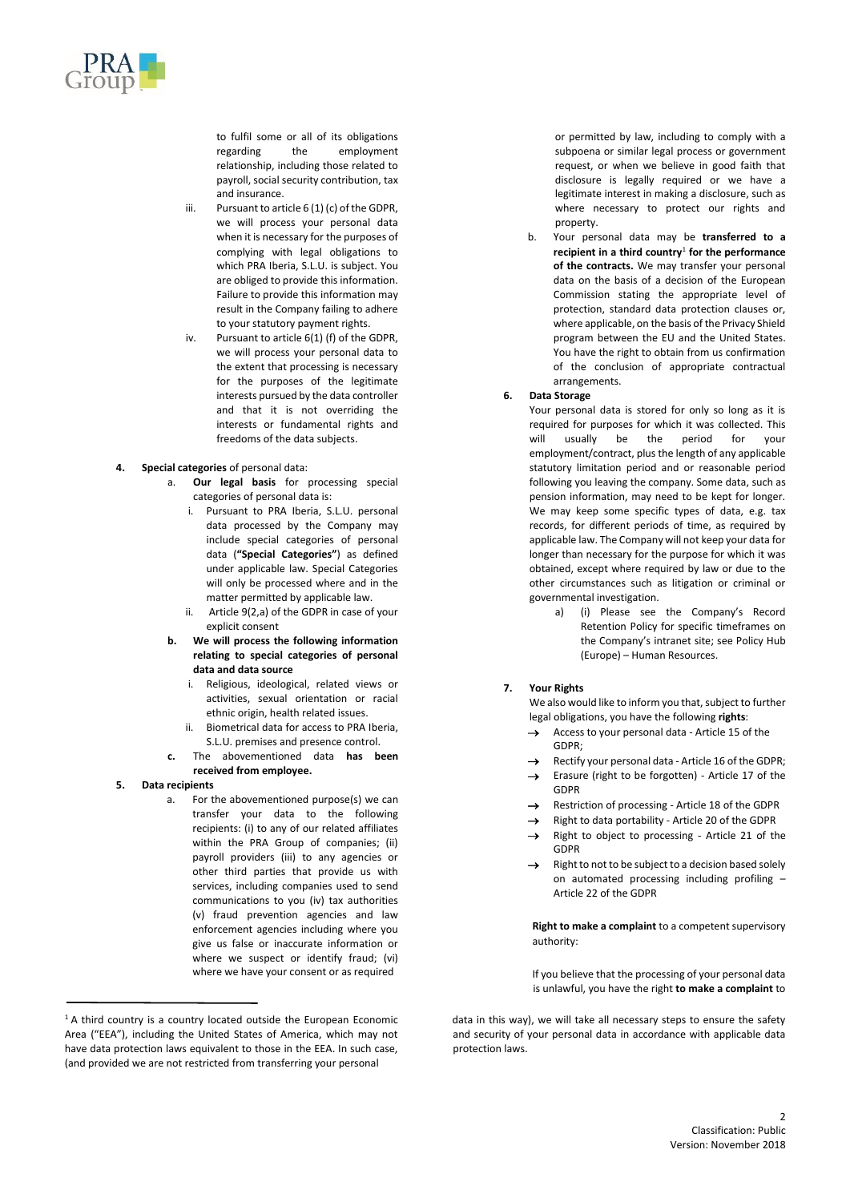

to fulfil some or all of its obligations regarding the employment relationship, including those related to payroll, social security contribution, tax and insurance.

- iii. Pursuant to article 6 (1) (c) of the GDPR, we will process your personal data when it is necessary for the purposes of complying with legal obligations to which PRA Iberia, S.L.U. is subject. You are obliged to provide this information. Failure to provide this information may result in the Company failing to adhere to your statutory payment rights.
- iv. Pursuant to article 6(1) (f) of the GDPR, we will process your personal data to the extent that processing is necessary for the purposes of the legitimate interests pursued by the data controller and that it is not overriding the interests or fundamental rights and freedoms of the data subjects.
- **4. Special categories** of personal data:
	- a. **Our legal basis** for processing special categories of personal data is:
		- i. Pursuant to PRA Iberia, S.L.U. personal data processed by the Company may include special categories of personal data (**"Special Categories"**) as defined under applicable law. Special Categories will only be processed where and in the matter permitted by applicable law.
		- ii. Article 9(2,a) of the GDPR in case of your explicit consent
	- **b. We will process the following information relating to special categories of personal data and data source** 
		- i. Religious, ideological, related views or activities, sexual orientation or racial ethnic origin, health related issues.
		- ii. Biometrical data for access to PRA Iberia, S.L.U. premises and presence control.
	- **c.** The abovementioned data **has been received from employee.**
- **5. Data recipients**
	- a. For the abovementioned purpose(s) we can transfer your data to the following recipients: (i) to any of our related affiliates within the PRA Group of companies; (ii) payroll providers (iii) to any agencies or other third parties that provide us with services, including companies used to send communications to you (iv) tax authorities (v) fraud prevention agencies and law enforcement agencies including where you give us false or inaccurate information or where we suspect or identify fraud; (vi) where we have your consent or as required

or permitted by law, including to comply with a subpoena or similar legal process or government request, or when we believe in good faith that disclosure is legally required or we have a legitimate interest in making a disclosure, such as where necessary to protect our rights and property.

- b. Your personal data may be **transferred to a recipient in a third country**<sup>1</sup> **for the performance of the contracts.** We may transfer your personal data on the basis of a decision of the European Commission stating the appropriate level of protection, standard data protection clauses or, where applicable, on the basis of the Privacy Shield program between the EU and the United States. You have the right to obtain from us confirmation of the conclusion of appropriate contractual arrangements.
- **6. Data Storage**

Your personal data is stored for only so long as it is required for purposes for which it was collected. This will usually be the period for your employment/contract, plus the length of any applicable statutory limitation period and or reasonable period following you leaving the company. Some data, such as pension information, may need to be kept for longer. We may keep some specific types of data, e.g. tax records, for different periods of time, as required by applicable law. The Company will not keep your data for longer than necessary for the purpose for which it was obtained, except where required by law or due to the other circumstances such as litigation or criminal or governmental investigation.

a) (i) Please see the Company's Record Retention Policy for specific timeframes on the Company's intranet site; see Policy Hub (Europe) – Human Resources.

## **7. Your Rights**

We also would like to inform you that, subject to further legal obligations, you have the following **rights**:

- Access to your personal data Article 15 of the GDPR;
- Rectify your personal data Article 16 of the GDPR:
- → Erasure (right to be forgotten) Article 17 of the GDPR
- Restriction of processing Article 18 of the GDPR
- Right to data portability Article 20 of the GDPR
- → Right to object to processing Article 21 of the GDPR
- $\rightarrow$  Right to not to be subject to a decision based solely on automated processing including profiling – Article 22 of the GDPR

**Right to make a complaint** to a competent supervisory authority:

If you believe that the processing of your personal data is unlawful, you have the right **to make a complaint** to

data in this way), we will take all necessary steps to ensure the safety and security of your personal data in accordance with applicable data protection laws.

<sup>&</sup>lt;sup>1</sup> A third country is a country located outside the European Economic Area ("EEA"), including the United States of America, which may not have data protection laws equivalent to those in the EEA. In such case, (and provided we are not restricted from transferring your personal